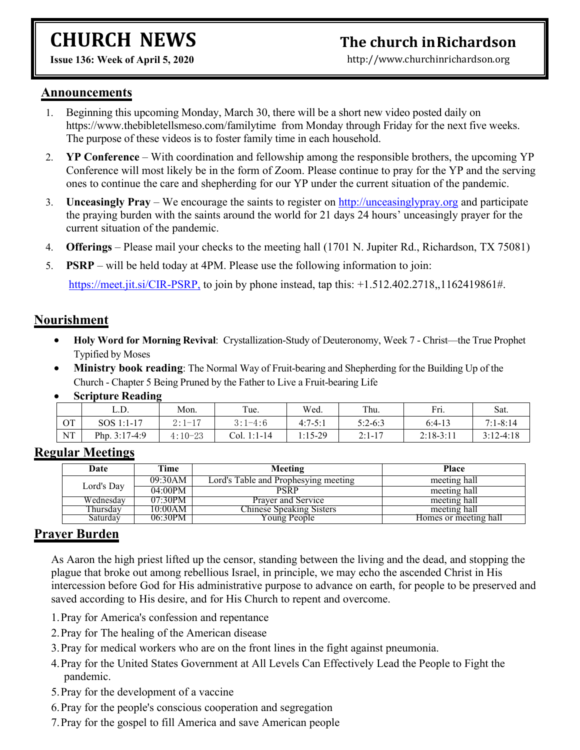# **CHURCH NEWS**

### **The church inRichardson**

**Issue 136:Week of April 5, 2020**

[http://www.churchinrichardson.org](http://www.churchinrichardson.org/)

#### **Announcements**

- 1. Beginning this upcoming Monday, March 30, there will be a short new video posted daily on https://www.thebibletellsmeso.com/familytime from Monday through Friday for the next five weeks. The purpose of these videos is to foster family time in each household.
- 2. **YP Conference** With coordination and fellowship among the responsible brothers, the upcoming YP Conference will most likely be in the form of Zoom. Please continue to pray for the YP and the serving ones to continue the care and shepherding for our YP under the current situation of the pandemic.
- 3. **Unceasingly Pray** We encourage the saints to registeron <http://unceasinglypray.org> and participate the praying burden with the saints around the world for 21 days 24 hours' unceasingly prayer for the current situation of the pandemic.
- 4. **Offerings** Please mail your checks to the meeting hall (1701 N. Jupiter Rd., Richardson, TX 75081)
- 5. **PSRP** will be held today at 4PM. Please use the following information to join:

<https://meet.jit.si/CIR-PSRP,> to join by phone instead, tap this: +1.512.402.2718,,1162419861#.

#### **Nourishment**

- **Holy Word for Morning Revival**: Crystallization-Study of Deuteronomy, Week 7 Christ—the True Prophet Typified by Moses
- **Ministry book reading**: The Normal Way of Fruit-bearing and Shepherding for the Building Up of the Church - Chapter 5 Being Pruned by the Father to Live a Fruit-bearing Life
- **Scripture Reading**

|           | L.D.            | Mon.      | Tue.               | Wed.      | Thu.      | Fri.        | Sat.         |
|-----------|-----------------|-----------|--------------------|-----------|-----------|-------------|--------------|
| <b>OT</b> | SOS 1:1-17      | $2:1-17$  | $3:1-4:6$          | $4:7-5:1$ | $5:2-6:3$ | $6:4-13$    | $7:1 - 8:14$ |
| NT        | Php. $3:17-4:9$ | $4:10-23$ | $1:1-14$<br>Col. 1 | 1:15-29   | $2:1-17$  | $2:18-3:11$ | $3:12-4:18$  |

#### **Regular Meetings**

| Date       | Time    | Meeting                              | <b>Place</b>          |
|------------|---------|--------------------------------------|-----------------------|
|            | 09:30AM | Lord's Table and Prophesying meeting | meeting hall          |
| Lord's Day | 04:00PM | PSRP                                 | meeting hall          |
| Wednesday  | 07:30PM | <b>Praver and Service</b>            | meeting hall          |
| Thursdav   | 10:00AM | Chinese Speaking Sisters             | meeting hall          |
| Saturdav   | 06:30PM | Young People                         | Homes or meeting hall |

#### **Prayer Burden**

As Aaron the high priest lifted up the censor, standing between the living and the dead, and stopping the plague that broke out among rebellious Israel, in principle, we may echo the ascended Christ in His intercession before God for His administrative purpose to advance on earth, for people to be preserved and saved according to His desire, and for His Church to repent and overcome.

- 1.Pray for America's confession and repentance
- 2.Pray for The healing of the American disease
- 3.Pray for medical workers who are on the front lines in the fight against pneumonia.
- 4.Pray for the United States Government at All Levels Can Effectively Lead the People to Fight the pandemic.
- 5.Pray for the development of a vaccine
- 6.Pray for the people's conscious cooperation and segregation
- 7.Pray for the gospel to fill America and save American people